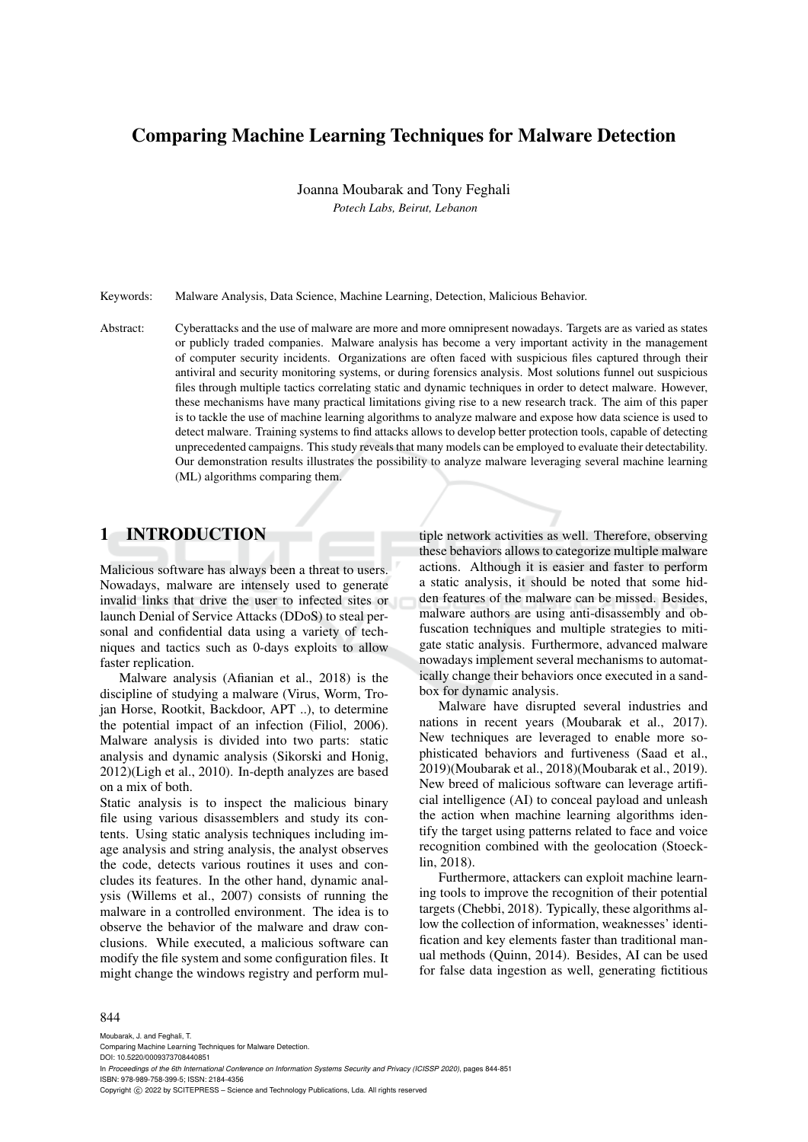# Comparing Machine Learning Techniques for Malware Detection

Joanna Moubarak and Tony Feghali *Potech Labs, Beirut, Lebanon*

Keywords: Malware Analysis, Data Science, Machine Learning, Detection, Malicious Behavior.

Abstract: Cyberattacks and the use of malware are more and more omnipresent nowadays. Targets are as varied as states or publicly traded companies. Malware analysis has become a very important activity in the management of computer security incidents. Organizations are often faced with suspicious files captured through their antiviral and security monitoring systems, or during forensics analysis. Most solutions funnel out suspicious files through multiple tactics correlating static and dynamic techniques in order to detect malware. However, these mechanisms have many practical limitations giving rise to a new research track. The aim of this paper is to tackle the use of machine learning algorithms to analyze malware and expose how data science is used to detect malware. Training systems to find attacks allows to develop better protection tools, capable of detecting unprecedented campaigns. This study reveals that many models can be employed to evaluate their detectability. Our demonstration results illustrates the possibility to analyze malware leveraging several machine learning (ML) algorithms comparing them.

# 1 INTRODUCTION

Malicious software has always been a threat to users. Nowadays, malware are intensely used to generate invalid links that drive the user to infected sites or launch Denial of Service Attacks (DDoS) to steal personal and confidential data using a variety of techniques and tactics such as 0-days exploits to allow faster replication.

Malware analysis (Afianian et al., 2018) is the discipline of studying a malware (Virus, Worm, Trojan Horse, Rootkit, Backdoor, APT ..), to determine the potential impact of an infection (Filiol, 2006). Malware analysis is divided into two parts: static analysis and dynamic analysis (Sikorski and Honig, 2012)(Ligh et al., 2010). In-depth analyzes are based on a mix of both.

Static analysis is to inspect the malicious binary file using various disassemblers and study its contents. Using static analysis techniques including image analysis and string analysis, the analyst observes the code, detects various routines it uses and concludes its features. In the other hand, dynamic analysis (Willems et al., 2007) consists of running the malware in a controlled environment. The idea is to observe the behavior of the malware and draw conclusions. While executed, a malicious software can modify the file system and some configuration files. It might change the windows registry and perform multiple network activities as well. Therefore, observing these behaviors allows to categorize multiple malware actions. Although it is easier and faster to perform a static analysis, it should be noted that some hidden features of the malware can be missed. Besides, malware authors are using anti-disassembly and obfuscation techniques and multiple strategies to mitigate static analysis. Furthermore, advanced malware nowadays implement several mechanisms to automatically change their behaviors once executed in a sandbox for dynamic analysis.

Malware have disrupted several industries and nations in recent years (Moubarak et al., 2017). New techniques are leveraged to enable more sophisticated behaviors and furtiveness (Saad et al., 2019)(Moubarak et al., 2018)(Moubarak et al., 2019). New breed of malicious software can leverage artificial intelligence (AI) to conceal payload and unleash the action when machine learning algorithms identify the target using patterns related to face and voice recognition combined with the geolocation (Stoecklin, 2018).

Furthermore, attackers can exploit machine learning tools to improve the recognition of their potential targets (Chebbi, 2018). Typically, these algorithms allow the collection of information, weaknesses' identification and key elements faster than traditional manual methods (Quinn, 2014). Besides, AI can be used for false data ingestion as well, generating fictitious

#### 844

Moubarak, J. and Feghali, T. Comparing Machine Learning Techniques for Malware Detection. DOI: 10.5220/0009373708440851 In *Proceedings of the 6th International Conference on Information Systems Security and Privacy (ICISSP 2020)*, pages 844-851 ISBN: 978-989-758-399-5; ISSN: 2184-4356 Copyright (C) 2022 by SCITEPRESS - Science and Technology Publications, Lda. All rights reserved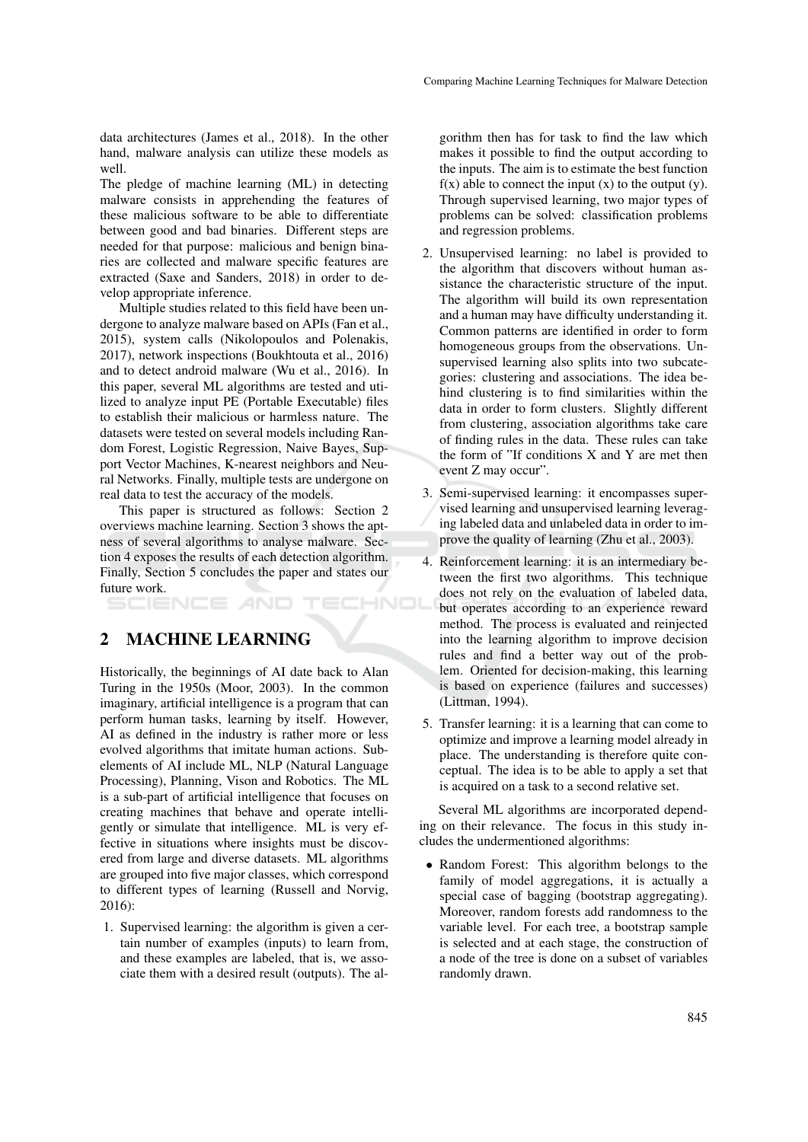data architectures (James et al., 2018). In the other hand, malware analysis can utilize these models as well.

The pledge of machine learning (ML) in detecting malware consists in apprehending the features of these malicious software to be able to differentiate between good and bad binaries. Different steps are needed for that purpose: malicious and benign binaries are collected and malware specific features are extracted (Saxe and Sanders, 2018) in order to develop appropriate inference.

Multiple studies related to this field have been undergone to analyze malware based on APIs (Fan et al., 2015), system calls (Nikolopoulos and Polenakis, 2017), network inspections (Boukhtouta et al., 2016) and to detect android malware (Wu et al., 2016). In this paper, several ML algorithms are tested and utilized to analyze input PE (Portable Executable) files to establish their malicious or harmless nature. The datasets were tested on several models including Random Forest, Logistic Regression, Naive Bayes, Support Vector Machines, K-nearest neighbors and Neural Networks. Finally, multiple tests are undergone on real data to test the accuracy of the models.

This paper is structured as follows: Section 2 overviews machine learning. Section 3 shows the aptness of several algorithms to analyse malware. Section 4 exposes the results of each detection algorithm. Finally, Section 5 concludes the paper and states our future work.

HNOI

2 MACHINE LEARNING

Historically, the beginnings of AI date back to Alan Turing in the 1950s (Moor, 2003). In the common imaginary, artificial intelligence is a program that can perform human tasks, learning by itself. However, AI as defined in the industry is rather more or less evolved algorithms that imitate human actions. Subelements of AI include ML, NLP (Natural Language Processing), Planning, Vison and Robotics. The ML is a sub-part of artificial intelligence that focuses on creating machines that behave and operate intelligently or simulate that intelligence. ML is very effective in situations where insights must be discovered from large and diverse datasets. ML algorithms are grouped into five major classes, which correspond to different types of learning (Russell and Norvig, 2016):

1. Supervised learning: the algorithm is given a certain number of examples (inputs) to learn from, and these examples are labeled, that is, we associate them with a desired result (outputs). The algorithm then has for task to find the law which makes it possible to find the output according to the inputs. The aim is to estimate the best function  $f(x)$  able to connect the input  $(x)$  to the output  $(y)$ . Through supervised learning, two major types of problems can be solved: classification problems and regression problems.

- 2. Unsupervised learning: no label is provided to the algorithm that discovers without human assistance the characteristic structure of the input. The algorithm will build its own representation and a human may have difficulty understanding it. Common patterns are identified in order to form homogeneous groups from the observations. Unsupervised learning also splits into two subcategories: clustering and associations. The idea behind clustering is to find similarities within the data in order to form clusters. Slightly different from clustering, association algorithms take care of finding rules in the data. These rules can take the form of "If conditions X and Y are met then event Z may occur".
- 3. Semi-supervised learning: it encompasses supervised learning and unsupervised learning leveraging labeled data and unlabeled data in order to improve the quality of learning (Zhu et al., 2003).
- 4. Reinforcement learning: it is an intermediary between the first two algorithms. This technique does not rely on the evaluation of labeled data, but operates according to an experience reward method. The process is evaluated and reinjected into the learning algorithm to improve decision rules and find a better way out of the problem. Oriented for decision-making, this learning is based on experience (failures and successes) (Littman, 1994).
- 5. Transfer learning: it is a learning that can come to optimize and improve a learning model already in place. The understanding is therefore quite conceptual. The idea is to be able to apply a set that is acquired on a task to a second relative set.

Several ML algorithms are incorporated depending on their relevance. The focus in this study includes the undermentioned algorithms:

• Random Forest: This algorithm belongs to the family of model aggregations, it is actually a special case of bagging (bootstrap aggregating). Moreover, random forests add randomness to the variable level. For each tree, a bootstrap sample is selected and at each stage, the construction of a node of the tree is done on a subset of variables randomly drawn.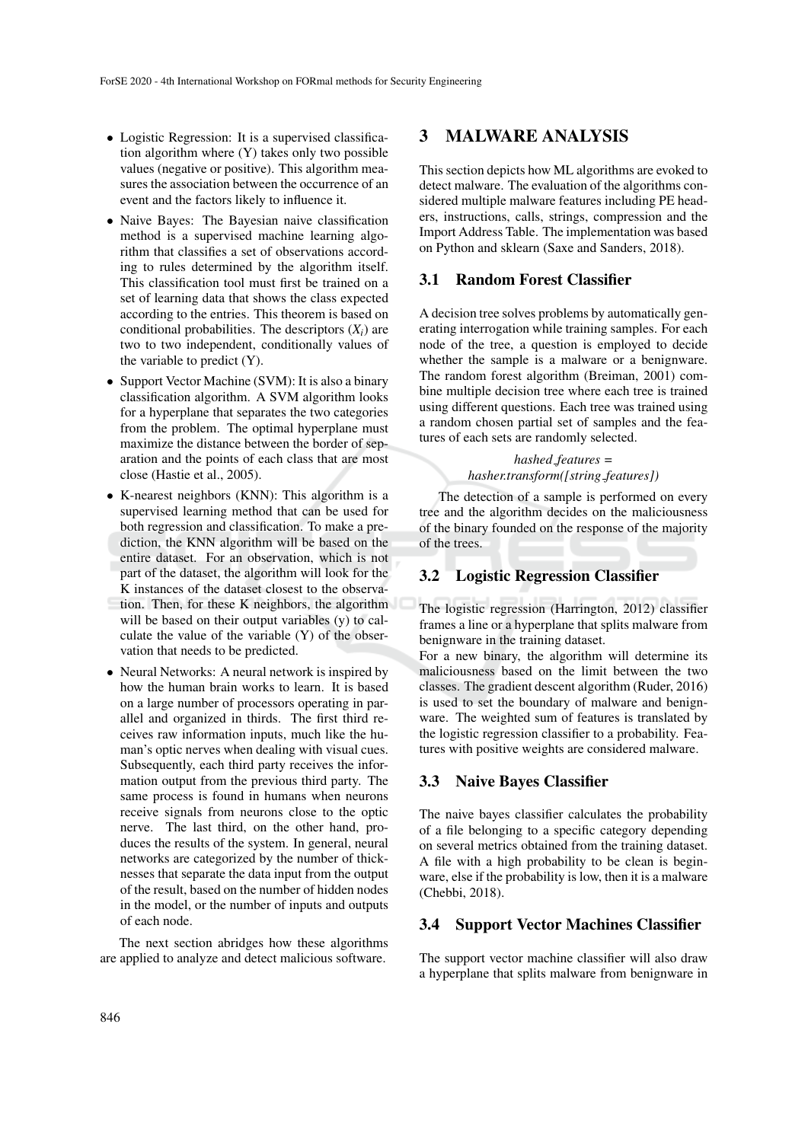- Logistic Regression: It is a supervised classification algorithm where (Y) takes only two possible values (negative or positive). This algorithm measures the association between the occurrence of an event and the factors likely to influence it.
- Naive Bayes: The Bayesian naive classification method is a supervised machine learning algorithm that classifies a set of observations according to rules determined by the algorithm itself. This classification tool must first be trained on a set of learning data that shows the class expected according to the entries. This theorem is based on conditional probabilities. The descriptors  $(X_i)$  are two to two independent, conditionally values of the variable to predict  $(Y)$ .
- Support Vector Machine (SVM): It is also a binary classification algorithm. A SVM algorithm looks for a hyperplane that separates the two categories from the problem. The optimal hyperplane must maximize the distance between the border of separation and the points of each class that are most close (Hastie et al., 2005).
- K-nearest neighbors (KNN): This algorithm is a supervised learning method that can be used for both regression and classification. To make a prediction, the KNN algorithm will be based on the entire dataset. For an observation, which is not part of the dataset, the algorithm will look for the K instances of the dataset closest to the observation. Then, for these K neighbors, the algorithm will be based on their output variables (y) to calculate the value of the variable (Y) of the observation that needs to be predicted.
- Neural Networks: A neural network is inspired by how the human brain works to learn. It is based on a large number of processors operating in parallel and organized in thirds. The first third receives raw information inputs, much like the human's optic nerves when dealing with visual cues. Subsequently, each third party receives the information output from the previous third party. The same process is found in humans when neurons receive signals from neurons close to the optic nerve. The last third, on the other hand, produces the results of the system. In general, neural networks are categorized by the number of thicknesses that separate the data input from the output of the result, based on the number of hidden nodes in the model, or the number of inputs and outputs of each node.

The next section abridges how these algorithms are applied to analyze and detect malicious software.

# 3 MALWARE ANALYSIS

This section depicts how ML algorithms are evoked to detect malware. The evaluation of the algorithms considered multiple malware features including PE headers, instructions, calls, strings, compression and the Import Address Table. The implementation was based on Python and sklearn (Saxe and Sanders, 2018).

#### 3.1 Random Forest Classifier

A decision tree solves problems by automatically generating interrogation while training samples. For each node of the tree, a question is employed to decide whether the sample is a malware or a benignware. The random forest algorithm (Breiman, 2001) combine multiple decision tree where each tree is trained using different questions. Each tree was trained using a random chosen partial set of samples and the features of each sets are randomly selected.

# *hashed features = hasher.transform([string features])*

The detection of a sample is performed on every tree and the algorithm decides on the maliciousness of the binary founded on the response of the majority of the trees.

#### 3.2 Logistic Regression Classifier

The logistic regression (Harrington, 2012) classifier frames a line or a hyperplane that splits malware from benignware in the training dataset.

For a new binary, the algorithm will determine its maliciousness based on the limit between the two classes. The gradient descent algorithm (Ruder, 2016) is used to set the boundary of malware and benignware. The weighted sum of features is translated by the logistic regression classifier to a probability. Features with positive weights are considered malware.

#### 3.3 Naive Bayes Classifier

The naive bayes classifier calculates the probability of a file belonging to a specific category depending on several metrics obtained from the training dataset. A file with a high probability to be clean is beginware, else if the probability is low, then it is a malware (Chebbi, 2018).

### 3.4 Support Vector Machines Classifier

The support vector machine classifier will also draw a hyperplane that splits malware from benignware in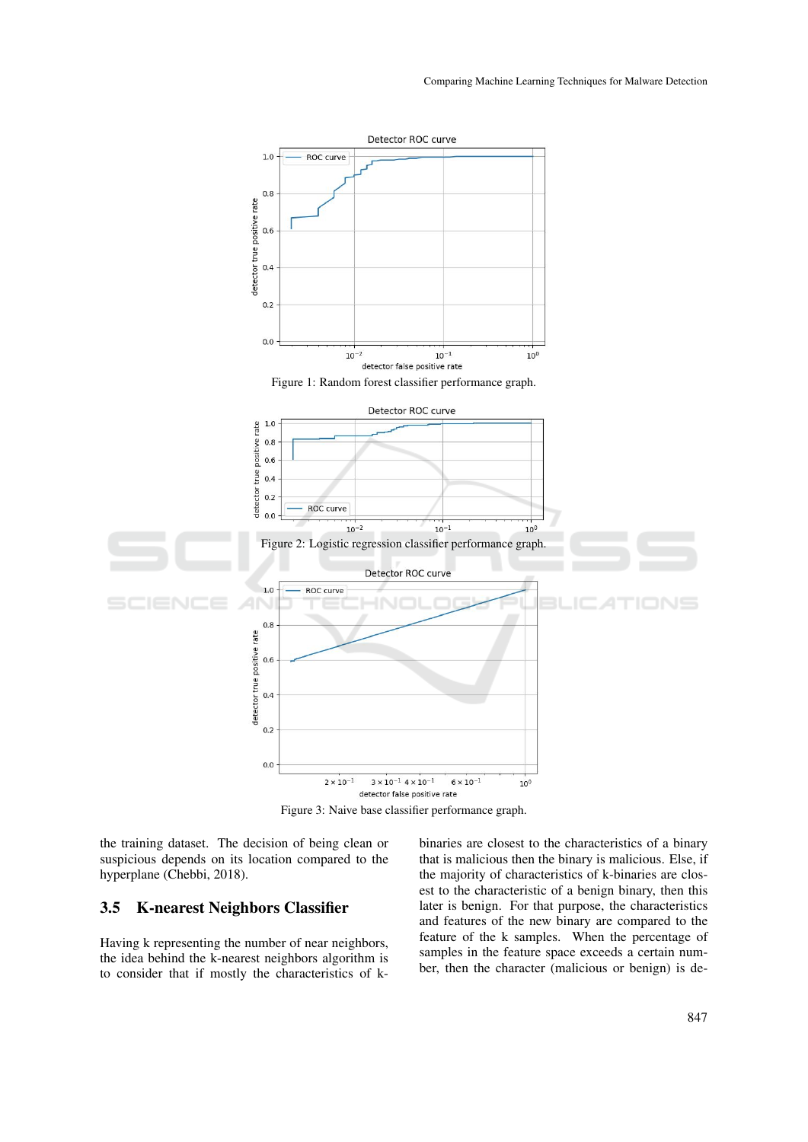

Figure 3: Naive base classifier performance graph.

the training dataset. The decision of being clean or suspicious depends on its location compared to the hyperplane (Chebbi, 2018).

#### 3.5 K-nearest Neighbors Classifier

Having k representing the number of near neighbors, the idea behind the k-nearest neighbors algorithm is to consider that if mostly the characteristics of kbinaries are closest to the characteristics of a binary that is malicious then the binary is malicious. Else, if the majority of characteristics of k-binaries are closest to the characteristic of a benign binary, then this later is benign. For that purpose, the characteristics and features of the new binary are compared to the feature of the k samples. When the percentage of samples in the feature space exceeds a certain number, then the character (malicious or benign) is de-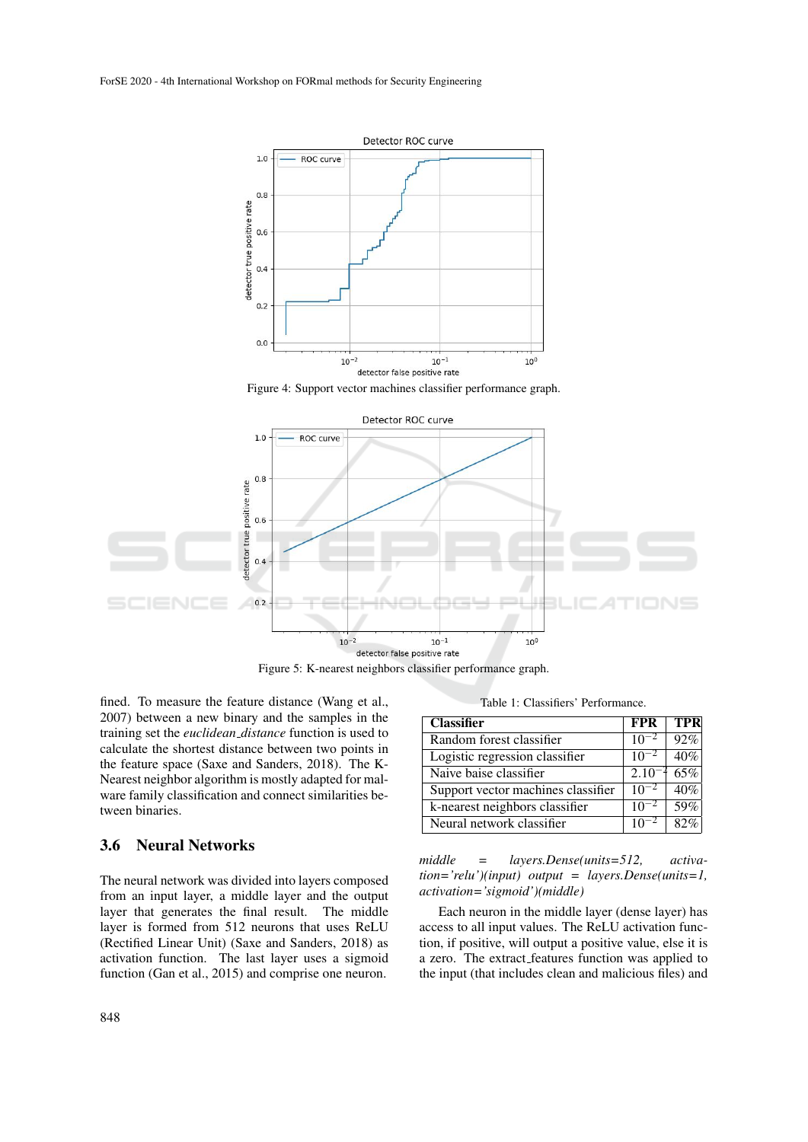

Figure 4: Support vector machines classifier performance graph.



Figure 5: K-nearest neighbors classifier performance graph.

fined. To measure the feature distance (Wang et al., 2007) between a new binary and the samples in the training set the *euclidean distance* function is used to calculate the shortest distance between two points in the feature space (Saxe and Sanders, 2018). The K-Nearest neighbor algorithm is mostly adapted for malware family classification and connect similarities between binaries.

#### 3.6 Neural Networks

The neural network was divided into layers composed from an input layer, a middle layer and the output layer that generates the final result. The middle layer is formed from 512 neurons that uses ReLU (Rectified Linear Unit) (Saxe and Sanders, 2018) as activation function. The last layer uses a sigmoid function (Gan et al., 2015) and comprise one neuron.

Table 1: Classifiers' Performance.

| <b>Classifier</b>                  | <b>FPR</b> | <b>TPR</b> |
|------------------------------------|------------|------------|
| Random forest classifier           | $10^{-2}$  | 92%        |
| Logistic regression classifier     |            | 40%        |
| Naive baise classifier             | $2.10^{-}$ | 65%        |
| Support vector machines classifier | $10^{-2}$  | 40%        |
| k-nearest neighbors classifier     | $10^{-2}$  | 59%        |
| Neural network classifier          |            |            |

*middle = layers.Dense(units=512, activation='relu')(input) output = layers.Dense(units=1, activation='sigmoid')(middle)*

Each neuron in the middle layer (dense layer) has access to all input values. The ReLU activation function, if positive, will output a positive value, else it is a zero. The extract features function was applied to the input (that includes clean and malicious files) and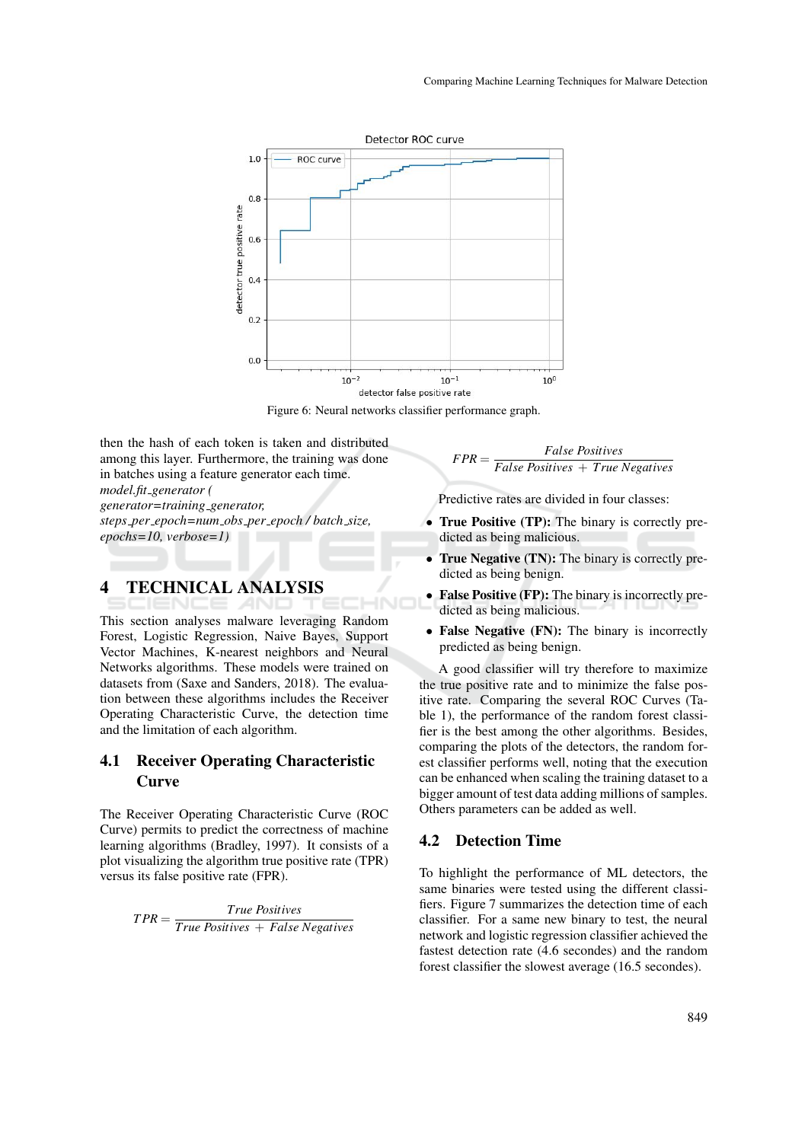

Figure 6: Neural networks classifier performance graph.

then the hash of each token is taken and distributed among this layer. Furthermore, the training was done in batches using a feature generator each time. *model.fit generator ( generator=training generator, steps per epoch=num obs per epoch / batch size, epochs=10, verbose=1)*

# 4 TECHNICAL ANALYSIS

This section analyses malware leveraging Random Forest, Logistic Regression, Naive Bayes, Support Vector Machines, K-nearest neighbors and Neural Networks algorithms. These models were trained on datasets from (Saxe and Sanders, 2018). The evaluation between these algorithms includes the Receiver Operating Characteristic Curve, the detection time and the limitation of each algorithm.

### 4.1 Receiver Operating Characteristic **Curve**

The Receiver Operating Characteristic Curve (ROC Curve) permits to predict the correctness of machine learning algorithms (Bradley, 1997). It consists of a plot visualizing the algorithm true positive rate (TPR) versus its false positive rate (FPR).

> *T PR* = *True Positives True Positives* + *False Negatives*

 $FPR =$ *False Positives False Positives* + *True Negatives*

Predictive rates are divided in four classes:

- True Positive (TP): The binary is correctly predicted as being malicious.
- True Negative (TN): The binary is correctly predicted as being benign.
- False Positive (FP): The binary is incorrectly predicted as being malicious.
- False Negative (FN): The binary is incorrectly predicted as being benign.

A good classifier will try therefore to maximize the true positive rate and to minimize the false positive rate. Comparing the several ROC Curves (Table 1), the performance of the random forest classifier is the best among the other algorithms. Besides, comparing the plots of the detectors, the random forest classifier performs well, noting that the execution can be enhanced when scaling the training dataset to a bigger amount of test data adding millions of samples. Others parameters can be added as well.

#### 4.2 Detection Time

To highlight the performance of ML detectors, the same binaries were tested using the different classifiers. Figure 7 summarizes the detection time of each classifier. For a same new binary to test, the neural network and logistic regression classifier achieved the fastest detection rate (4.6 secondes) and the random forest classifier the slowest average (16.5 secondes).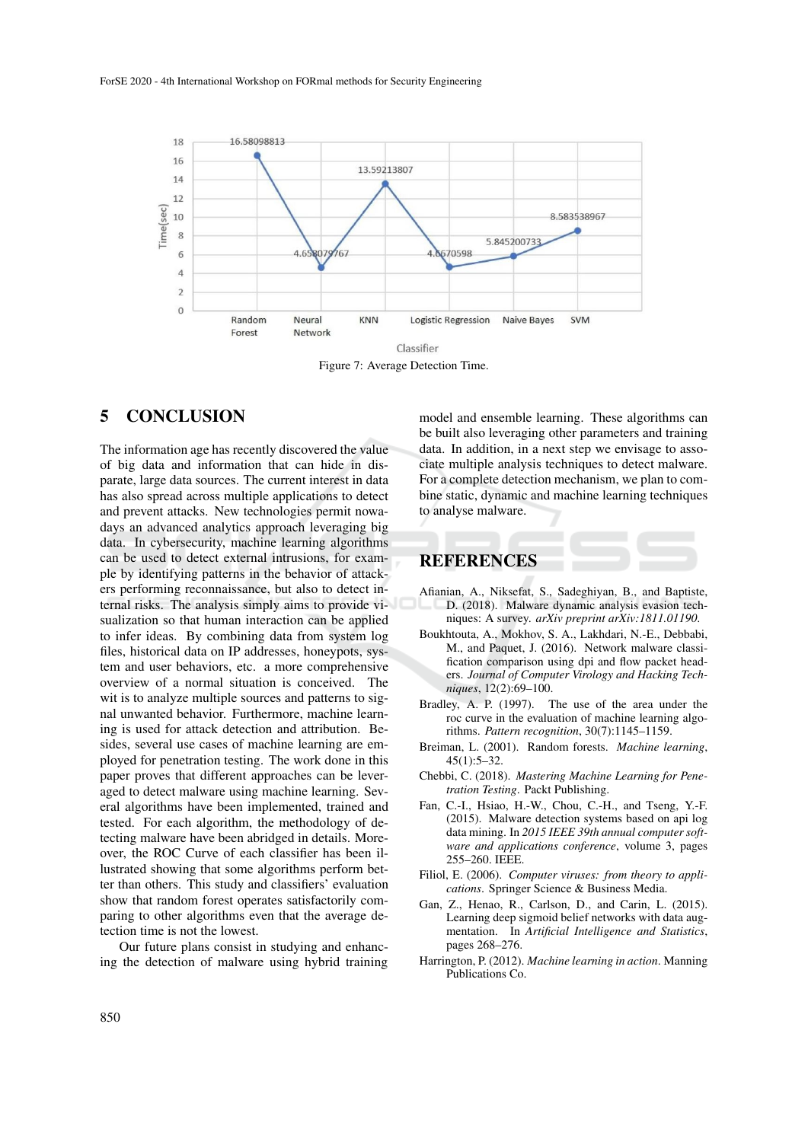

Figure 7: Average Detection Time.

# 5 CONCLUSION

The information age has recently discovered the value of big data and information that can hide in disparate, large data sources. The current interest in data has also spread across multiple applications to detect and prevent attacks. New technologies permit nowadays an advanced analytics approach leveraging big data. In cybersecurity, machine learning algorithms can be used to detect external intrusions, for example by identifying patterns in the behavior of attackers performing reconnaissance, but also to detect internal risks. The analysis simply aims to provide visualization so that human interaction can be applied to infer ideas. By combining data from system log files, historical data on IP addresses, honeypots, system and user behaviors, etc. a more comprehensive overview of a normal situation is conceived. The wit is to analyze multiple sources and patterns to signal unwanted behavior. Furthermore, machine learning is used for attack detection and attribution. Besides, several use cases of machine learning are employed for penetration testing. The work done in this paper proves that different approaches can be leveraged to detect malware using machine learning. Several algorithms have been implemented, trained and tested. For each algorithm, the methodology of detecting malware have been abridged in details. Moreover, the ROC Curve of each classifier has been illustrated showing that some algorithms perform better than others. This study and classifiers' evaluation show that random forest operates satisfactorily comparing to other algorithms even that the average detection time is not the lowest.

Our future plans consist in studying and enhancing the detection of malware using hybrid training

model and ensemble learning. These algorithms can be built also leveraging other parameters and training data. In addition, in a next step we envisage to associate multiple analysis techniques to detect malware. For a complete detection mechanism, we plan to combine static, dynamic and machine learning techniques to analyse malware.

# REFERENCES

- Afianian, A., Niksefat, S., Sadeghiyan, B., and Baptiste, D. (2018). Malware dynamic analysis evasion techniques: A survey. *arXiv preprint arXiv:1811.01190*.
- Boukhtouta, A., Mokhov, S. A., Lakhdari, N.-E., Debbabi, M., and Paquet, J. (2016). Network malware classification comparison using dpi and flow packet headers. *Journal of Computer Virology and Hacking Techniques*, 12(2):69–100.
- Bradley, A. P. (1997). The use of the area under the roc curve in the evaluation of machine learning algorithms. *Pattern recognition*, 30(7):1145–1159.
- Breiman, L. (2001). Random forests. *Machine learning*, 45(1):5–32.
- Chebbi, C. (2018). *Mastering Machine Learning for Penetration Testing*. Packt Publishing.
- Fan, C.-I., Hsiao, H.-W., Chou, C.-H., and Tseng, Y.-F. (2015). Malware detection systems based on api log data mining. In *2015 IEEE 39th annual computer software and applications conference*, volume 3, pages 255–260. IEEE.
- Filiol, E. (2006). *Computer viruses: from theory to applications*. Springer Science & Business Media.
- Gan, Z., Henao, R., Carlson, D., and Carin, L. (2015). Learning deep sigmoid belief networks with data augmentation. In *Artificial Intelligence and Statistics*, pages 268–276.
- Harrington, P. (2012). *Machine learning in action*. Manning Publications Co.